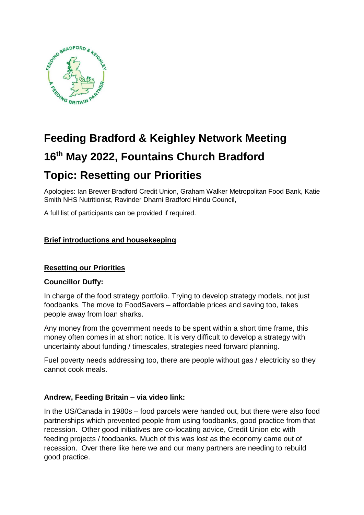

# **Feeding Bradford & Keighley Network Meeting 16th May 2022, Fountains Church Bradford Topic: Resetting our Priorities**

Apologies: Ian Brewer Bradford Credit Union, Graham Walker Metropolitan Food Bank, Katie Smith NHS Nutritionist, Ravinder Dharni Bradford Hindu Council,

A full list of participants can be provided if required.

# **Brief introductions and housekeeping**

# **Resetting our Priorities**

## **Councillor Duffy:**

In charge of the food strategy portfolio. Trying to develop strategy models, not just foodbanks. The move to FoodSavers – affordable prices and saving too, takes people away from loan sharks.

Any money from the government needs to be spent within a short time frame, this money often comes in at short notice. It is very difficult to develop a strategy with uncertainty about funding / timescales, strategies need forward planning.

Fuel poverty needs addressing too, there are people without gas / electricity so they cannot cook meals.

# **Andrew, Feeding Britain – via video link:**

In the US/Canada in 1980s – food parcels were handed out, but there were also food partnerships which prevented people from using foodbanks, good practice from that recession. Other good initiatives are co-locating advice, Credit Union etc with feeding projects / foodbanks. Much of this was lost as the economy came out of recession. Over there like here we and our many partners are needing to rebuild good practice.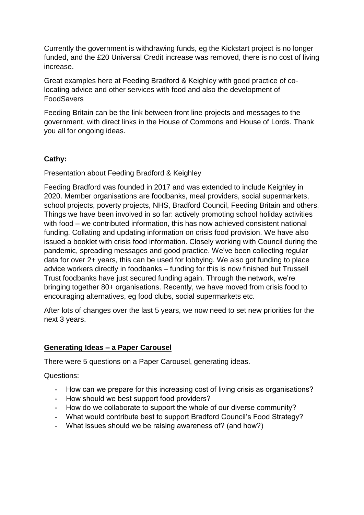Currently the government is withdrawing funds, eg the Kickstart project is no longer funded, and the £20 Universal Credit increase was removed, there is no cost of living increase.

Great examples here at Feeding Bradford & Keighley with good practice of colocating advice and other services with food and also the development of FoodSavers

Feeding Britain can be the link between front line projects and messages to the government, with direct links in the House of Commons and House of Lords. Thank you all for ongoing ideas.

# **Cathy:**

Presentation about Feeding Bradford & Keighley

Feeding Bradford was founded in 2017 and was extended to include Keighley in 2020. Member organisations are foodbanks, meal providers, social supermarkets, school projects, poverty projects, NHS, Bradford Council, Feeding Britain and others. Things we have been involved in so far: actively promoting school holiday activities with food – we contributed information, this has now achieved consistent national funding. Collating and updating information on crisis food provision. We have also issued a booklet with crisis food information. Closely working with Council during the pandemic, spreading messages and good practice. We've been collecting regular data for over 2+ years, this can be used for lobbying. We also got funding to place advice workers directly in foodbanks – funding for this is now finished but Trussell Trust foodbanks have just secured funding again. Through the network, we're bringing together 80+ organisations. Recently, we have moved from crisis food to encouraging alternatives, eg food clubs, social supermarkets etc.

After lots of changes over the last 5 years, we now need to set new priorities for the next 3 years.

## **Generating Ideas – a Paper Carousel**

There were 5 questions on a Paper Carousel, generating ideas.

Questions:

- How can we prepare for this increasing cost of living crisis as organisations?
- How should we best support food providers?
- How do we collaborate to support the whole of our diverse community?
- What would contribute best to support Bradford Council's Food Strategy?
- What issues should we be raising awareness of? (and how?)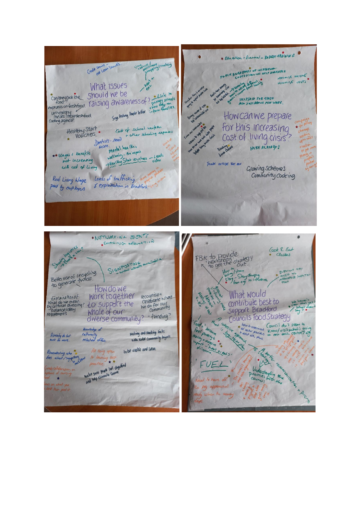\* Education - Francial - 84 DECT ARAINING Credit Union Should alle leaghly BLIC AWRAISINGS OF INCREASING MATINISE INCOME MINIMISE COSTS different und What issues Food?<br>
emphasis on-Kestrage. Taising awareness of? Finals is that the<br>
unheals Impures moved. Suppose the series in the final series.<br>
Cooking agenda! Suppose the series in the fact the fact of the fact is the fact of the Canthey cook the Should We be HELP/AID FOR THOSE<br>ALSO JUSTABOUS MIN WAGE Howcan we prepare for this increasing Healthy Staff Code of school uniform<br>Vouchers. Joshists- read to their schooling expenses Cost of living crisis Grabay Chase More. Mental health + HERE ALREADY! Memmi realistypathy<br>wellbaily - the impact<br>-> Keal Koy Stork vouchers - video \*\* Wages & benefits THINK OUTSIDE THE OOX Growing Schemes Real Living Wage Levels of trafficking Community cooking paid by cup loyes 8 exploitation in Bradford \*NETWORKING JUENTS à . STIRRING ARRYATION Cook & Eat FBK to provide<br>Notshops strategy Classes SIGNPOSTIN How to Island<br>Start Start EVELYON Bette use of recycling ACCED to influence How do we Work together recognise that What would Feriainalizato MOrk together<br>National do Ne mean<br>Distance do Nessity? LO SUPPOCE the<br>requiements Mhole of Our contribute best to Support Bradford cliverse community? - funding? Councils Food Strategy L GHATILE the benefit of Council daily som to Knowledge of<br>Culturally<br>Marted offers, Making and conting links Already do but with under community project  $*$ heat ereals Remembering who to be vigitize and seem All being open to learning best \*\* ake sure peap for degree UEL and help eliminate share what you est then pool it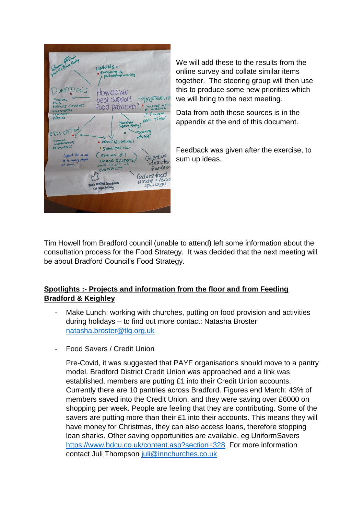| Informer Police River                                                                         | LINKING+<br>· encouraging<br>portressing working                                                              |
|-----------------------------------------------------------------------------------------------|---------------------------------------------------------------------------------------------------------------|
| DONFITIONS<br><b>FINANCIAL</b><br>ROOD<br>(JOBROTZ) ZJUTANY<br>VILUNTEERS<br><b>TZANSPIRT</b> | Howdowe<br>best support<br>2)CESSBILITA<br>MULTIPES WEYS<br>food providers?<br>IT SYDERS                      |
| ADMIN<br>EDVCATION<br>BUILDING<br>MOGRENOGALE/                                                | REAL TIME<br>Household<br>Support Fording<br>Training<br>AUTOR<br>· ADVICE) GUIDANCE I                        |
| RESILIENCE<br>Support for us all<br>to be making people<br>at criss.                          | SIGNPOSTING<br>(SOLNING UP 1<br>Collective<br>UMOCE SYSTEMS<br>ideastor<br>ONE POINT OF<br>fundiai<br>CONTACT |
|                                                                                               | reduce tood<br>Haste + food<br>Note central Guideance<br>spoilage.<br>For signifiating                        |
|                                                                                               |                                                                                                               |

We will add these to the results from the online survey and collate similar items together. The steering group will then use this to produce some new priorities which we will bring to the next meeting.

Data from both these sources is in the appendix at the end of this document.

Feedback was given after the exercise, to sum up ideas.

Tim Howell from Bradford council (unable to attend) left some information about the consultation process for the Food Strategy. It was decided that the next meeting will be about Bradford Council's Food Strategy.

# **Spotlights :- Projects and information from the floor and from Feeding Bradford & Keighley**

- Make Lunch: working with churches, putting on food provision and activities during holidays – to find out more contact: Natasha Broster [natasha.broster@tlg.org.uk](mailto:natasha.broster@tlg.org.uk)
- Food Savers / Credit Union

Pre-Covid, it was suggested that PAYF organisations should move to a pantry model. Bradford District Credit Union was approached and a link was established, members are putting £1 into their Credit Union accounts. Currently there are 10 pantries across Bradford. Figures end March: 43% of members saved into the Credit Union, and they were saving over £6000 on shopping per week. People are feeling that they are contributing. Some of the savers are putting more than their £1 into their accounts. This means they will have money for Christmas, they can also access loans, therefore stopping loan sharks. Other saving opportunities are available, eg UniformSavers <https://www.bdcu.co.uk/content.asp?section=328> For more information contact Juli Thompson [juli@innchurches.co.uk](mailto:juli@innchurches.co.uk)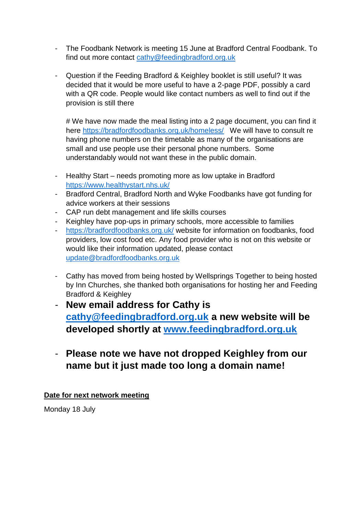- The Foodbank Network is meeting 15 June at Bradford Central Foodbank. To find out more contact [cathy@feedingbradford.org.uk](mailto:cathy@feedingbradford.org.uk)
- Question if the Feeding Bradford & Keighley booklet is still useful? It was decided that it would be more useful to have a 2-page PDF, possibly a card with a QR code. People would like contact numbers as well to find out if the provision is still there

# We have now made the meal listing into a 2 page document, you can find it here <https://bradfordfoodbanks.org.uk/homeless/> We will have to consult re having phone numbers on the timetable as many of the organisations are small and use people use their personal phone numbers. Some understandably would not want these in the public domain.

- Healthy Start needs promoting more as low uptake in Bradford <https://www.healthystart.nhs.uk/>
- Bradford Central, Bradford North and Wyke Foodbanks have got funding for advice workers at their sessions
- CAP run debt management and life skills courses
- Keighley have pop-ups in primary schools, more accessible to families
- <https://bradfordfoodbanks.org.uk/> website for information on foodbanks, food providers, low cost food etc. Any food provider who is not on this website or would like their information updated, please contact [update@bradfordfoodbanks.org.uk](mailto:update@bradfordfoodbanks.org.uk)
- Cathy has moved from being hosted by Wellsprings Together to being hosted by Inn Churches, she thanked both organisations for hosting her and Feeding Bradford & Keighley
- **New email address for Cathy is [cathy@feedingbradford.org.uk](mailto:cathy@feedingbradford.org.uk) a new website will be developed shortly at [www.feedingbradford.org.uk](http://www.feedingbradford.org.uk/)**
- **Please note we have not dropped Keighley from our name but it just made too long a domain name!**

**Date for next network meeting**

Monday 18 July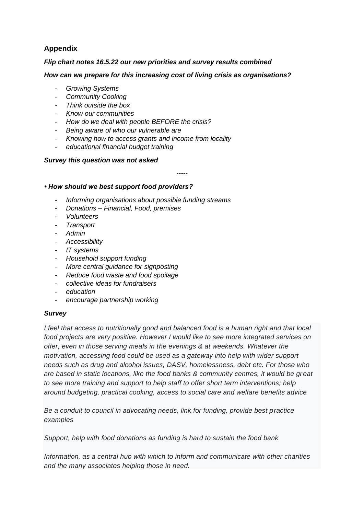# **Appendix**

## *Flip chart notes 16.5.22 our new priorities and survey results combined*

## *How can we prepare for this increasing cost of living crisis as organisations?*

- *Growing Systems*
- *Community Cooking*
- *Think outside the box*
- *Know our communities*
- *How do we deal with people BEFORE the crisis?*
- *Being aware of who our vulnerable are*
- *Knowing how to access grants and income from locality*
- *educational financial budget training*

## *Survey this question was not asked*

*-----*

## *• How should we best support food providers?*

- *Informing organisations about possible funding streams*
- *Donations – Financial, Food, premises*
- *Volunteers*
- *Transport*
- *Admin*
- *Accessibility*
- *IT systems*
- *Household support funding*
- *More central guidance for signposting*
- *Reduce food waste and food spoilage*
- *collective ideas for fundraisers*
- *education*
- *encourage partnership working*

## *Survey*

*I feel that access to nutritionally good and balanced food is a human right and that local food projects are very positive. However I would like to see more integrated services on offer, even in those serving meals in the evenings & at weekends. Whatever the motivation, accessing food could be used as a gateway into help with wider support needs such as drug and alcohol issues, DASV, homelessness, debt etc. For those who are based in static locations, like the food banks & community centres, it would be great to see more training and support to help staff to offer short term interventions; help around budgeting, practical cooking, access to social care and welfare benefits advice*

*Be a conduit to council in advocating needs, link for funding, provide best practice examples*

*Support, help with food donations as funding is hard to sustain the food bank*

*Information, as a central hub with which to inform and communicate with other charities and the many associates helping those in need.*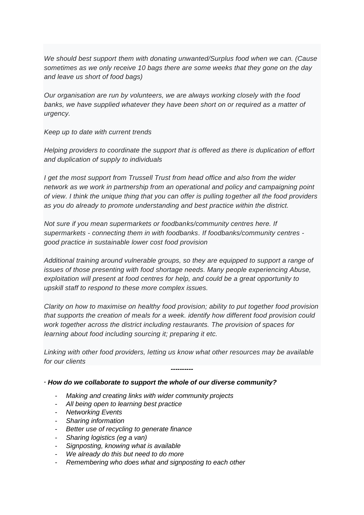*We should best support them with donating unwanted/Surplus food when we can. (Cause sometimes as we only receive 10 bags there are some weeks that they gone on the day and leave us short of food bags)*

*Our organisation are run by volunteers, we are always working closely with the food*  banks, we have supplied whatever they have been short on or required as a matter of *urgency.*

*Keep up to date with current trends*

*Helping providers to coordinate the support that is offered as there is duplication of effort and duplication of supply to individuals*

*I get the most support from Trussell Trust from head office and also from the wider network as we work in partnership from an operational and policy and campaigning point of view. I think the unique thing that you can offer is pulling together all the food providers as you do already to promote understanding and best practice within the district.*

*Not sure if you mean supermarkets or foodbanks/community centres here. If supermarkets - connecting them in with foodbanks. If foodbanks/community centres good practice in sustainable lower cost food provision*

*Additional training around vulnerable groups, so they are equipped to support a range of issues of those presenting with food shortage needs. Many people experiencing Abuse, exploitation will present at food centres for help, and could be a great opportunity to upskill staff to respond to these more complex issues.*

*Clarity on how to maximise on healthy food provision; ability to put together food provision that supports the creation of meals for a week. identify how different food provision could work together across the district including restaurants. The provision of spaces for learning about food including sourcing it; preparing it etc.*

*Linking with other food providers, letting us know what other resources may be available for our clients*

*----------*

## *∙ How do we collaborate to support the whole of our diverse community?*

- *Making and creating links with wider community projects*
- *All being open to learning best practice*
- *Networking Events*
- *Sharing information*
- *Better use of recycling to generate finance*
- *Sharing logistics (eg a van)*
- *Signposting, knowing what is available*
- *We already do this but need to do more*
- *Remembering who does what and signposting to each other*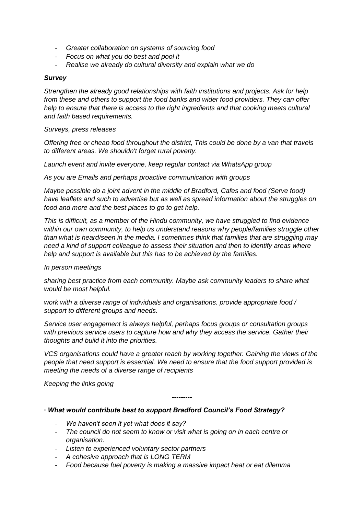- *Greater collaboration on systems of sourcing food*
- *Focus on what you do best and pool it*
- *Realise we already do cultural diversity and explain what we do*

### *Survey*

*Strengthen the already good relationships with faith institutions and projects. Ask for help from these and others to support the food banks and wider food providers. They can offer help to ensure that there is access to the right ingredients and that cooking meets cultural and faith based requirements.*

### *Surveys, press releases*

*Offering free or cheap food throughout the district, This could be done by a van that travels to different areas. We shouldn't forget rural poverty.*

*Launch event and invite everyone, keep regular contact via WhatsApp group*

*As you are Emails and perhaps proactive communication with groups*

*Maybe possible do a joint advent in the middle of Bradford, Cafes and food (Serve food) have leaflets and such to advertise but as well as spread information about the struggles on food and more and the best places to go to get help.*

*This is difficult, as a member of the Hindu community, we have struggled to find evidence within our own community, to help us understand reasons why people/families struggle other than what is heard/seen in the media. I sometimes think that families that are struggling may need a kind of support colleague to assess their situation and then to identify areas where help and support is available but this has to be achieved by the families.*

### *In person meetings*

*sharing best practice from each community. Maybe ask community leaders to share what would be most helpful.*

*work with a diverse range of individuals and organisations. provide appropriate food / support to different groups and needs.*

*Service user engagement is always helpful, perhaps focus groups or consultation groups with previous service users to capture how and why they access the service. Gather their thoughts and build it into the priorities.*

*VCS organisations could have a greater reach by working together. Gaining the views of the people that need support is essential. We need to ensure that the food support provided is meeting the needs of a diverse range of recipients*

*---------*

*Keeping the links going*

### *∙ What would contribute best to support Bradford Council's Food Strategy?*

- *We haven't seen it yet what does it say?*
- *The council do not seem to know or visit what is going on in each centre or organisation.*
- *Listen to experienced voluntary sector partners*
- *A cohesive approach that is LONG TERM*
- *Food because fuel poverty is making a massive impact heat or eat dilemma*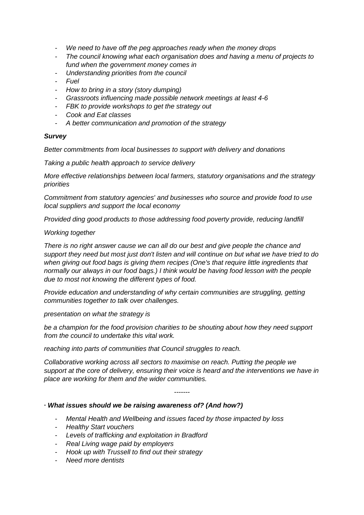- *We need to have off the peg approaches ready when the money drops*
- *The council knowing what each organisation does and having a menu of projects to fund when the government money comes in*
- *Understanding priorities from the council*
- *Fuel*
- *How to bring in a story (story dumping)*
- *Grassroots influencing made possible network meetings at least 4-6*
- *FBK to provide workshops to get the strategy out*
- *Cook and Eat classes*
- *A better communication and promotion of the strategy*

## *Survey*

*Better commitments from local businesses to support with delivery and donations*

*Taking a public health approach to service delivery*

*More effective relationships between local farmers, statutory organisations and the strategy priorities*

*Commitment from statutory agencies' and businesses who source and provide food to use local suppliers and support the local economy*

*Provided ding good products to those addressing food poverty provide, reducing landfill*

### *Working together*

*There is no right answer cause we can all do our best and give people the chance and support they need but most just don't listen and will continue on but what we have tried to do when giving out food bags is giving them recipes (One's that require little ingredients that normally our always in our food bags.) I think would be having food lesson with the people due to most not knowing the different types of food.*

*Provide education and understanding of why certain communities are struggling, getting communities together to talk over challenges.*

*presentation on what the strategy is*

*be a champion for the food provision charities to be shouting about how they need support from the council to undertake this vital work.*

*reaching into parts of communities that Council struggles to reach.*

*Collaborative working across all sectors to maximise on reach. Putting the people we support at the core of delivery, ensuring their voice is heard and the interventions we have in place are working for them and the wider communities.*

*-------*

### *∙ What issues should we be raising awareness of? (And how?)*

- *Mental Health and Wellbeing and issues faced by those impacted by loss*
- *Healthy Start vouchers*
- *Levels of trafficking and exploitation in Bradford*
- *Real Living wage paid by employers*
- *Hook up with Trussell to find out their strategy*
- *Need more dentists*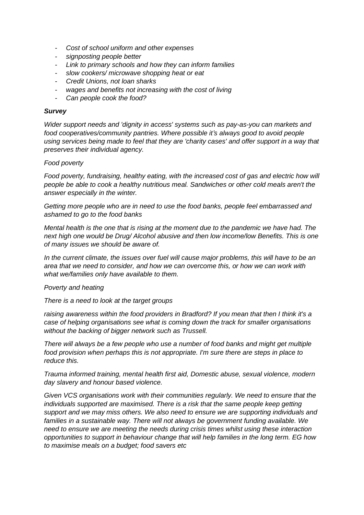- *Cost of school uniform and other expenses*
- *signposting people better*
- *Link to primary schools and how they can inform families*
- *slow cookers/ microwave shopping heat or eat*
- *Credit Unions, not loan sharks*
- *wages and benefits not increasing with the cost of living*
- Can people cook the food?

## *Survey*

*Wider support needs and 'dignity in access' systems such as pay-as-you can markets and food cooperatives/community pantries. Where possible it's always good to avoid people using services being made to feel that they are 'charity cases' and offer support in a way that preserves their individual agency.*

## *Food poverty*

*Food poverty, fundraising, healthy eating, with the increased cost of gas and electric how will people be able to cook a healthy nutritious meal. Sandwiches or other cold meals aren't the answer especially in the winter.*

*Getting more people who are in need to use the food banks, people feel embarrassed and ashamed to go to the food banks*

*Mental health is the one that is rising at the moment due to the pandemic we have had. The next high one would be Drug/ Alcohol abusive and then low income/low Benefits. This is one of many issues we should be aware of.*

*In the current climate, the issues over fuel will cause major problems, this will have to be an area that we need to consider, and how we can overcome this, or how we can work with what we/families only have available to them.*

### *Poverty and heating*

*There is a need to look at the target groups*

*raising awareness within the food providers in Bradford? If you mean that then I think it's a case of helping organisations see what is coming down the track for smaller organisations without the backing of bigger network such as Trussell.*

*There will always be a few people who use a number of food banks and might get multiple food provision when perhaps this is not appropriate. I'm sure there are steps in place to reduce this.*

*Trauma informed training, mental health first aid, Domestic abuse, sexual violence, modern day slavery and honour based violence.*

*Given VCS organisations work with their communities regularly. We need to ensure that the individuals supported are maximised. There is a risk that the same people keep getting support and we may miss others. We also need to ensure we are supporting individuals and families in a sustainable way. There will not always be government funding available. We need to ensure we are meeting the needs during crisis times whilst using these interaction opportunities to support in behaviour change that will help families in the long term. EG how to maximise meals on a budget; food savers etc*